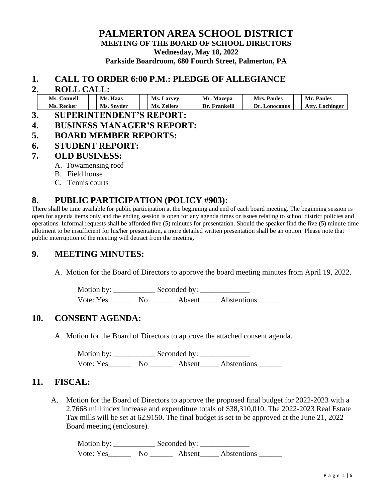### **PALMERTON AREA SCHOOL DISTRICT MEETING OF THE BOARD OF SCHOOL DIRECTORS Wednesday, May 18, 2022 Parkside Boardroom, 680 Fourth Street, Palmerton, PA**

#### **1. CALL TO ORDER 6:00 P.M.: PLEDGE OF ALLEGIANCE**

#### **2. ROLL CALL:**

|                                                      | Ms.<br>Connell | Ms.<br>Haas |  | Ms.<br>Larvey         |  | Mr.<br>Mazepa   | Mrs.<br><b>Paules</b> | Paules<br>Mr.     |
|------------------------------------------------------|----------------|-------------|--|-----------------------|--|-----------------|-----------------------|-------------------|
|                                                      | Ms.<br>Recker  | Ms. Snyder  |  | <b>Zellers</b><br>Ms. |  | Frankelli<br>Dr | Dr.<br>∟onoconus      | Atty<br>Lochinger |
| $\sim$<br>_____<br>_ _ _ _ . _ . _ _ _ _ _<br>______ |                |             |  |                       |  |                 |                       |                   |

- **3. SUPERINTENDENT'S REPORT:**
- **4. BUSINESS MANAGER'S REPORT:**
- **5. BOARD MEMBER REPORTS:**
- **6. STUDENT REPORT:**

#### **7. OLD BUSINESS:**

- A. Towamensing roof
- B. Field house
- C. Tennis courts

### **8. PUBLIC PARTICIPATION (POLICY #903):**

There shall be time available for public participation at the beginning and end of each board meeting. The beginning session is open for agenda items only and the ending session is open for any agenda times or issues relating to school district policies and operations. Informal requests shall be afforded five (5) minutes for presentation. Should the speaker find the five (5) minute time allotment to be insufficient for his/her presentation, a more detailed written presentation shall be an option. Please note that public interruption of the meeting will detract from the meeting.

### **9. MEETING MINUTES:**

A. Motion for the Board of Directors to approve the board meeting minutes from April 19, 2022.

Motion by: \_\_\_\_\_\_\_\_\_\_\_ Seconded by: \_\_\_\_\_\_\_\_\_\_\_\_\_ Vote: Yes No Absent Abstentions

### **10. CONSENT AGENDA:**

A. Motion for the Board of Directors to approve the attached consent agenda.

Motion by: \_\_\_\_\_\_\_\_\_\_\_ Seconded by: \_\_\_\_\_\_\_\_\_\_\_\_\_ Vote: Yes\_\_\_\_\_\_\_\_ No \_\_\_\_\_\_\_\_ Absent\_\_\_\_\_ Abstentions \_\_\_\_\_\_\_

### **11. FISCAL:**

A. Motion for the Board of Directors to approve the proposed final budget for 2022-2023 with a 2.7668 mill index increase and expenditure totals of \$38,310,010. The 2022-2023 Real Estate Tax mills will be set at 62.9150. The final budget is set to be approved at the June 21, 2022 Board meeting (enclosure).

Motion by: \_\_\_\_\_\_\_\_\_\_\_ Seconded by: \_\_\_\_\_\_\_\_\_\_\_\_\_ Vote: Yes\_\_\_\_\_\_\_\_ No \_\_\_\_\_\_\_\_ Absent\_\_\_\_\_ Abstentions \_\_\_\_\_\_\_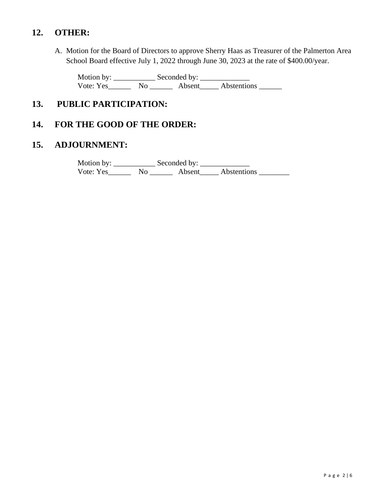# **12. OTHER:**

A. Motion for the Board of Directors to approve Sherry Haas as Treasurer of the Palmerton Area School Board effective July 1, 2022 through June 30, 2023 at the rate of \$400.00/year.

Motion by: \_\_\_\_\_\_\_\_\_\_\_ Seconded by: \_\_\_\_\_\_\_\_\_\_\_\_\_ Vote: Yes\_\_\_\_\_\_\_\_ No \_\_\_\_\_\_\_\_ Absent\_\_\_\_\_\_ Abstentions \_\_\_\_\_\_\_

# **13. PUBLIC PARTICIPATION:**

# **14. FOR THE GOOD OF THE ORDER:**

## **15. ADJOURNMENT:**

Motion by: \_\_\_\_\_\_\_\_\_\_\_ Seconded by: \_\_\_\_\_\_\_\_\_\_\_\_\_ Vote: Yes\_\_\_\_\_\_\_\_ No \_\_\_\_\_\_\_ Absent\_\_\_\_\_ Abstentions \_\_\_\_\_\_\_\_\_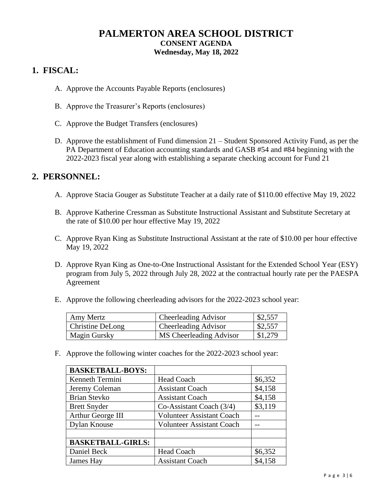# **PALMERTON AREA SCHOOL DISTRICT CONSENT AGENDA Wednesday, May 18, 2022**

# **1. FISCAL:**

- A. Approve the Accounts Payable Reports (enclosures)
- B. Approve the Treasurer's Reports (enclosures)
- C. Approve the Budget Transfers (enclosures)
- D. Approve the establishment of Fund dimension 21 Student Sponsored Activity Fund, as per the PA Department of Education accounting standards and GASB #54 and #84 beginning with the 2022-2023 fiscal year along with establishing a separate checking account for Fund 21

### **2. PERSONNEL:**

- A. Approve Stacia Gouger as Substitute Teacher at a daily rate of \$110.00 effective May 19, 2022
- B. Approve Katherine Cressman as Substitute Instructional Assistant and Substitute Secretary at the rate of \$10.00 per hour effective May 19, 2022
- C. Approve Ryan King as Substitute Instructional Assistant at the rate of \$10.00 per hour effective May 19, 2022
- D. Approve Ryan King as One-to-One Instructional Assistant for the Extended School Year (ESY) program from July 5, 2022 through July 28, 2022 at the contractual hourly rate per the PAESPA Agreement
- E. Approve the following cheerleading advisors for the 2022-2023 school year:

| Amy Mertz           | <b>Cheerleading Advisor</b> | \$2,557 |
|---------------------|-----------------------------|---------|
| Christine DeLong    | <b>Cheerleading Advisor</b> | \$2,557 |
| <b>Magin Gursky</b> | MS Cheerleading Advisor     | \$1,279 |

F. Approve the following winter coaches for the 2022-2023 school year:

| <b>BASKETBALL-BOYS:</b>  |                                  |         |
|--------------------------|----------------------------------|---------|
| Kenneth Termini          | <b>Head Coach</b>                | \$6,352 |
| Jeremy Coleman           | <b>Assistant Coach</b>           | \$4,158 |
| <b>Brian Stevko</b>      | <b>Assistant Coach</b>           | \$4,158 |
| <b>Brett Snyder</b>      | Co-Assistant Coach (3/4)         | \$3,119 |
| Arthur George III        | <b>Volunteer Assistant Coach</b> |         |
| <b>Dylan Knouse</b>      | <b>Volunteer Assistant Coach</b> |         |
|                          |                                  |         |
| <b>BASKETBALL-GIRLS:</b> |                                  |         |
| Daniel Beck              | Head Coach                       | \$6,352 |
| James Hay                | <b>Assistant Coach</b>           | \$4,158 |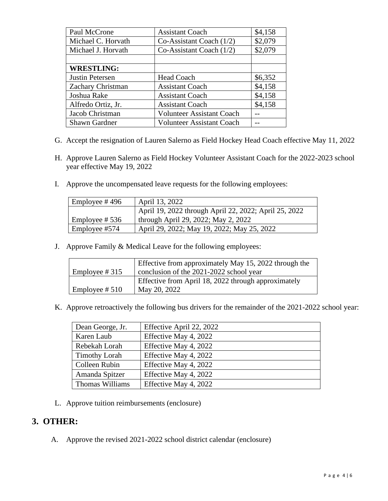| Paul McCrone         | <b>Assistant Coach</b>           | \$4,158 |
|----------------------|----------------------------------|---------|
| Michael C. Horvath   | Co-Assistant Coach $(1/2)$       | \$2,079 |
| Michael J. Horvath   | Co-Assistant Coach $(1/2)$       | \$2,079 |
|                      |                                  |         |
| <b>WRESTLING:</b>    |                                  |         |
| Justin Petersen      | <b>Head Coach</b>                | \$6,352 |
| Zachary Christman    | <b>Assistant Coach</b>           | \$4,158 |
| Joshua Rake          | <b>Assistant Coach</b>           | \$4,158 |
| Alfredo Ortiz, Jr.   | <b>Assistant Coach</b>           | \$4,158 |
| Jacob Christman      | <b>Volunteer Assistant Coach</b> |         |
| <b>Shawn Gardner</b> | <b>Volunteer Assistant Coach</b> |         |

- G. Accept the resignation of Lauren Salerno as Field Hockey Head Coach effective May 11, 2022
- H. Approve Lauren Salerno as Field Hockey Volunteer Assistant Coach for the 2022-2023 school year effective May 19, 2022
- I. Approve the uncompensated leave requests for the following employees:

| Employee #496    | April 13, 2022                                        |
|------------------|-------------------------------------------------------|
|                  | April 19, 2022 through April 22, 2022; April 25, 2022 |
| Employee # $536$ | through April 29, 2022; May 2, 2022                   |
| Employee #574    | April 29, 2022; May 19, 2022; May 25, 2022            |

J. Approve Family & Medical Leave for the following employees:

|                  | Effective from approximately May 15, 2022 through the |
|------------------|-------------------------------------------------------|
| Employee # $315$ | conclusion of the 2021-2022 school year               |
|                  | Effective from April 18, 2022 through approximately   |
| Employee # $510$ | May 20, 2022                                          |

K. Approve retroactively the following bus drivers for the remainder of the 2021-2022 school year:

| Dean George, Jr.       | Effective April 22, 2022 |
|------------------------|--------------------------|
| Karen Laub             | Effective May 4, 2022    |
| Rebekah Lorah          | Effective May 4, 2022    |
| <b>Timothy Lorah</b>   | Effective May 4, 2022    |
| Colleen Rubin          | Effective May 4, 2022    |
| Amanda Spitzer         | Effective May 4, 2022    |
| <b>Thomas Williams</b> | Effective May 4, 2022    |

L. Approve tuition reimbursements (enclosure)

### **3. OTHER:**

A. Approve the revised 2021-2022 school district calendar (enclosure)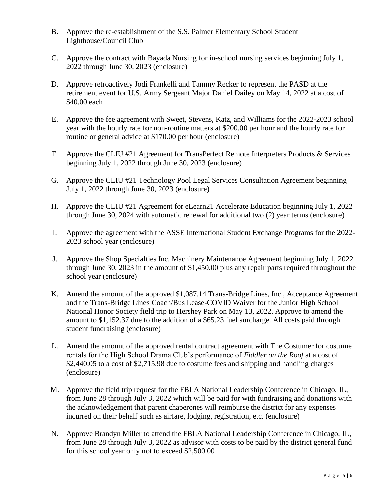- B. Approve the re-establishment of the S.S. Palmer Elementary School Student Lighthouse/Council Club
- C. Approve the contract with Bayada Nursing for in-school nursing services beginning July 1, 2022 through June 30, 2023 (enclosure)
- D. Approve retroactively Jodi Frankelli and Tammy Recker to represent the PASD at the retirement event for U.S. Army Sergeant Major Daniel Dailey on May 14, 2022 at a cost of \$40.00 each
- E. Approve the fee agreement with Sweet, Stevens, Katz, and Williams for the 2022-2023 school year with the hourly rate for non-routine matters at \$200.00 per hour and the hourly rate for routine or general advice at \$170.00 per hour (enclosure)
- F. Approve the CLIU #21 Agreement for TransPerfect Remote Interpreters Products & Services beginning July 1, 2022 through June 30, 2023 (enclosure)
- G. Approve the CLIU #21 Technology Pool Legal Services Consultation Agreement beginning July 1, 2022 through June 30, 2023 (enclosure)
- H. Approve the CLIU #21 Agreement for eLearn21 Accelerate Education beginning July 1, 2022 through June 30, 2024 with automatic renewal for additional two (2) year terms (enclosure)
- I. Approve the agreement with the ASSE International Student Exchange Programs for the 2022- 2023 school year (enclosure)
- J. Approve the Shop Specialties Inc. Machinery Maintenance Agreement beginning July 1, 2022 through June 30, 2023 in the amount of \$1,450.00 plus any repair parts required throughout the school year (enclosure)
- K. Amend the amount of the approved \$1,087.14 Trans-Bridge Lines, Inc., Acceptance Agreement and the Trans-Bridge Lines Coach/Bus Lease-COVID Waiver for the Junior High School National Honor Society field trip to Hershey Park on May 13, 2022. Approve to amend the amount to \$1,152.37 due to the addition of a \$65.23 fuel surcharge. All costs paid through student fundraising (enclosure)
- L. Amend the amount of the approved rental contract agreement with The Costumer for costume rentals for the High School Drama Club's performance of *Fiddler on the Roof* at a cost of \$2,440.05 to a cost of \$2,715.98 due to costume fees and shipping and handling charges (enclosure)
- M. Approve the field trip request for the FBLA National Leadership Conference in Chicago, IL, from June 28 through July 3, 2022 which will be paid for with fundraising and donations with the acknowledgement that parent chaperones will reimburse the district for any expenses incurred on their behalf such as airfare, lodging, registration, etc. (enclosure)
- N. Approve Brandyn Miller to attend the FBLA National Leadership Conference in Chicago, IL, from June 28 through July 3, 2022 as advisor with costs to be paid by the district general fund for this school year only not to exceed \$2,500.00